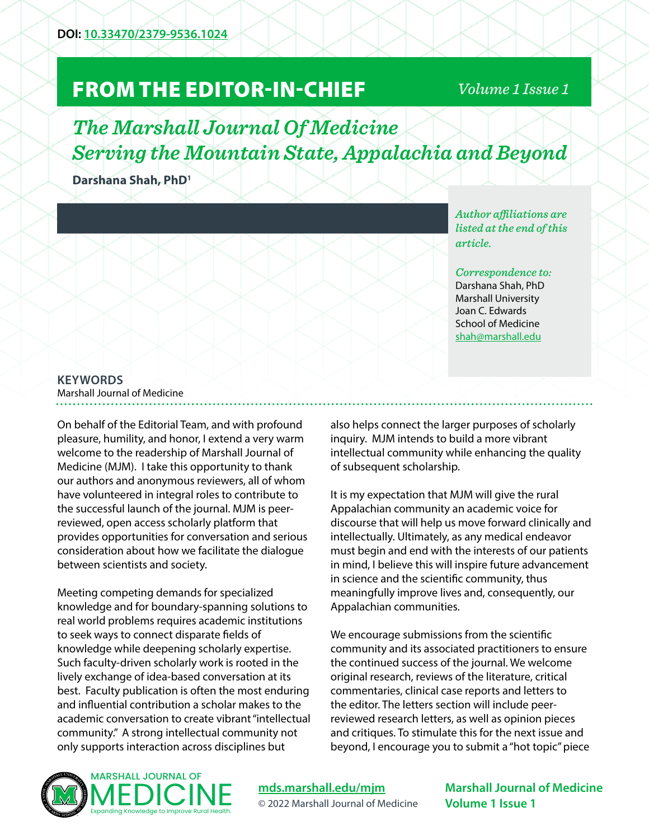## FROM THE EDITOR-IN-CHIEF

## *Volume 1 Issue 1*

*The Marshall Journal Of Medicine Serving the Mountain State, Appalachia and Beyond*

**Darshana Shah, PhD1**

*Author affiliations are listed at the end of this article.* 

*Correspondence to:*  Darshana Shah, PhD Marshall University Joan C. Edwards School of Medicine [shah@marshall.edu](mailto:shah%40marshall.edu?subject=)

## **KEYWORDS**

Marshall Journal of Medicine

On behalf of the Editorial Team, and with profound pleasure, humility, and honor, I extend a very warm welcome to the readership of Marshall Journal of Medicine (MJM). I take this opportunity to thank our authors and anonymous reviewers, all of whom have volunteered in integral roles to contribute to the successful launch of the journal. MJM is peerreviewed, open access scholarly platform that provides opportunities for conversation and serious consideration about how we facilitate the dialogue between scientists and society.

Meeting competing demands for specialized knowledge and for boundary-spanning solutions to real world problems requires academic institutions to seek ways to connect disparate fields of knowledge while deepening scholarly expertise. Such faculty-driven scholarly work is rooted in the lively exchange of idea-based conversation at its best. Faculty publication is often the most enduring and influential contribution a scholar makes to the academic conversation to create vibrant "intellectual community." A strong intellectual community not only supports interaction across disciplines but

also helps connect the larger purposes of scholarly inquiry. MJM intends to build a more vibrant intellectual community while enhancing the quality of subsequent scholarship.

It is my expectation that MJM will give the rural Appalachian community an academic voice for discourse that will help us move forward clinically and intellectually. Ultimately, as any medical endeavor must begin and end with the interests of our patients in mind, I believe this will inspire future advancement in science and the scientific community, thus meaningfully improve lives and, consequently, our Appalachian communities.

We encourage submissions from the scientific community and its associated practitioners to ensure the continued success of the journal. We welcome original research, reviews of the literature, critical commentaries, clinical case reports and letters to the editor. The letters section will include peerreviewed research letters, as well as opinion pieces and critiques. To stimulate this for the next issue and beyond, I encourage you to submit a "hot topic" piece



**[mds.marshall.edu/mjm](https://mds.marshall.edu/mjm/)** © 2022 Marshall Journal of Medicine

**Marshall Journal of Medicine Volume 1 Issue 1**